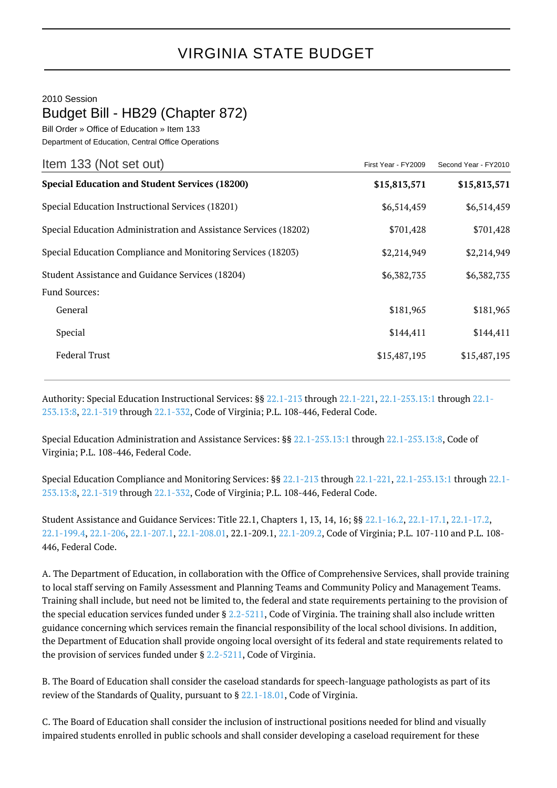## VIRGINIA STATE BUDGET

2010 Session

## Budget Bill - HB29 (Chapter 872)

Bill Order » Office of Education » Item 133

Department of Education, Central Office Operations

| Item 133 (Not set out)                                           | First Year - FY2009 | Second Year - FY2010 |
|------------------------------------------------------------------|---------------------|----------------------|
| <b>Special Education and Student Services (18200)</b>            | \$15,813,571        | \$15,813,571         |
| Special Education Instructional Services (18201)                 | \$6,514,459         | \$6,514,459          |
| Special Education Administration and Assistance Services (18202) | \$701,428           | \$701,428            |
| Special Education Compliance and Monitoring Services (18203)     | \$2,214,949         | \$2,214,949          |
| Student Assistance and Guidance Services (18204)                 | \$6,382,735         | \$6,382,735          |
| <b>Fund Sources:</b>                                             |                     |                      |
| General                                                          | \$181,965           | \$181,965            |
| Special                                                          | \$144,411           | \$144,411            |
| <b>Federal Trust</b>                                             | \$15,487,195        | \$15,487,195         |

Authority: Special Education Instructional Services: §§ [22.1-213](http://law.lis.virginia.gov/vacode/22.1-213/) through [22.1-221,](http://law.lis.virginia.gov/vacode/22.1-221/) [22.1-253.13:1](http://law.lis.virginia.gov/vacode/22.1-253.13:1/) through [22.1-](http://law.lis.virginia.gov/vacode/22.1-253.13:8/) [253.13:8](http://law.lis.virginia.gov/vacode/22.1-253.13:8/), [22.1-319](http://law.lis.virginia.gov/vacode/22.1-319/) through [22.1-332,](http://law.lis.virginia.gov/vacode/22.1-332/) Code of Virginia; P.L. 108-446, Federal Code.

Special Education Administration and Assistance Services: §§ [22.1-253.13:1](http://law.lis.virginia.gov/vacode/22.1-253.13:1/) through [22.1-253.13:8,](http://law.lis.virginia.gov/vacode/22.1-253.13:8/) Code of Virginia; P.L. 108-446, Federal Code.

Special Education Compliance and Monitoring Services: §§ [22.1-213](http://law.lis.virginia.gov/vacode/22.1-213/) through [22.1-221](http://law.lis.virginia.gov/vacode/22.1-221/), [22.1-253.13:1](http://law.lis.virginia.gov/vacode/22.1-253.13:1/) through [22.1-](http://law.lis.virginia.gov/vacode/22.1-253.13:8/) [253.13:8](http://law.lis.virginia.gov/vacode/22.1-253.13:8/), [22.1-319](http://law.lis.virginia.gov/vacode/22.1-319/) through [22.1-332,](http://law.lis.virginia.gov/vacode/22.1-332/) Code of Virginia; P.L. 108-446, Federal Code.

Student Assistance and Guidance Services: Title 22.1, Chapters 1, 13, 14, 16; §§ [22.1-16.2,](http://law.lis.virginia.gov/vacode/22.1-16.2/) [22.1-17.1,](http://law.lis.virginia.gov/vacode/22.1-17.1/) [22.1-17.2,](http://law.lis.virginia.gov/vacode/22.1-17.2/) [22.1-199.4,](http://law.lis.virginia.gov/vacode/22.1-199.4/) [22.1-206](http://law.lis.virginia.gov/vacode/22.1-206/), [22.1-207.1](http://law.lis.virginia.gov/vacode/22.1-207.1/), [22.1-208.01,](http://law.lis.virginia.gov/vacode/22.1-208.01/) 22.1-209.1, [22.1-209.2,](http://law.lis.virginia.gov/vacode/22.1-209.2/) Code of Virginia; P.L. 107-110 and P.L. 108- 446, Federal Code.

A. The Department of Education, in collaboration with the Office of Comprehensive Services, shall provide training to local staff serving on Family Assessment and Planning Teams and Community Policy and Management Teams. Training shall include, but need not be limited to, the federal and state requirements pertaining to the provision of the special education services funded under  $\S 2.2 - 5211$ , Code of Virginia. The training shall also include written guidance concerning which services remain the financial responsibility of the local school divisions. In addition, the Department of Education shall provide ongoing local oversight of its federal and state requirements related to the provision of services funded under § [2.2-5211,](http://law.lis.virginia.gov/vacode/2.2-5211/) Code of Virginia.

B. The Board of Education shall consider the caseload standards for speech-language pathologists as part of its review of the Standards of Quality, pursuant to § [22.1-18.01,](http://law.lis.virginia.gov/vacode/22.1-18.01/) Code of Virginia.

C. The Board of Education shall consider the inclusion of instructional positions needed for blind and visually impaired students enrolled in public schools and shall consider developing a caseload requirement for these